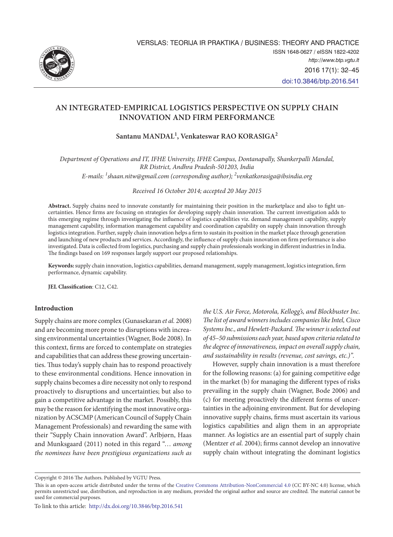

# **AN INTEGRATED-EMPIRICAL LOGISTICS PERSPECTIVE ON SUPPLY CHAIN INNOVATION AND FIRM PERFORMANCE**

**Santanu MANDAL<sup>1</sup> , Venkateswar RAO KORASIGA2**

*Department of Operations and IT, IFHE University, IFHE Campus, Dontanapally, Shankerpalli Mandal, RR District, Andhra Pradesh-501203, India*

*E-mails: 1 [shaan.nitw@gmail.com \(corresponding author\);](mailto:1shaan.nitw@gmail.com(corresponding) 2 venkatkorasiga@ibsindia.org*

*Received 16 October 2014; accepted 20 May 2015*

**Abstract.** Supply chains need to innovate constantly for maintaining their position in the marketplace and also to fight uncertainties. Hence firms are focusing on strategies for developing supply chain innovation. The current investigation adds to this emerging regime through investigating the influence of logistics capabilities viz. demand management capability, supply management capability, information management capability and coordination capability on supply chain innovation through logistics integration. Further, supply chain innovation helps a firm to sustain its position in the market place through generation and launching of new products and services. Accordingly, the influence of supply chain innovation on firm performance is also investigated. Data is collected from logistics, purchasing and supply chain professionals working in different industries in India. The findings based on 169 responses largely support our proposed relationships.

**Keywords:** supply chain innovation, logistics capabilities, demand management, supply management, logistics integration, firm performance, dynamic capability.

**JEL Classification**: C12, C42.

## **Introduction**

Supply chains are more complex (Gunasekaran *et al.* 2008) and are becoming more prone to disruptions with increasing environmental uncertainties (Wagner, Bode 2008). In this context, firms are forced to contemplate on strategies and capabilities that can address these growing uncertainties. Thus today's supply chain has to respond proactively to these environmental conditions. Hence innovation in supply chains becomes a dire necessity not only to respond proactively to disruptions and uncertainties; but also to gain a competitive advantage in the market. Possibly, this may be the reason for identifying the most innovative organization by ACSCMP (American Council of Supply Chain Management Professionals) and rewarding the same with their "Supply Chain innovation Award". Arlbjørn, Haas and Munksgaard (2011) noted in this regard "… *among the nominees have been prestigious organizations such as* 

*the U.S. Air Force, Motorola, Kellogg's, and Blockbuster Inc. The list of award winners includes companies like Intel, Cisco Systems Inc., and Hewlett-Packard. The winner is selected out of 45–50 submissions each year, based upon criteria related to the degree of innovativeness, impact on overall supply chain, and sustainability in results (revenue, cost savings, etc.)".*

However, supply chain innovation is a must therefore for the following reasons: (a) for gaining competitive edge in the market (b) for managing the different types of risks prevailing in the supply chain (Wagner, Bode 2006) and (c) for meeting proactively the different forms of uncertainties in the adjoining environment. But for developing innovative supply chains, firms must ascertain its various logistics capabilities and align them in an appropriate manner. As logistics are an essential part of supply chain (Mentzer *et al.* 2004); firms cannot develop an innovative supply chain without integrating the dominant logistics

Copyright © 2016 The Authors. Published by VGTU Press.

This is an open-access article distributed under the terms of the [Creative Commons Attribution-NonCommercial 4.0](http://creativecommons.org/licenses/by-nc/4.0/) (CC BY-NC 4.0) license, which permits unrestricted use, distribution, and reproduction in any medium, provided the original author and source are credited. The material cannot be used for commercial purposes.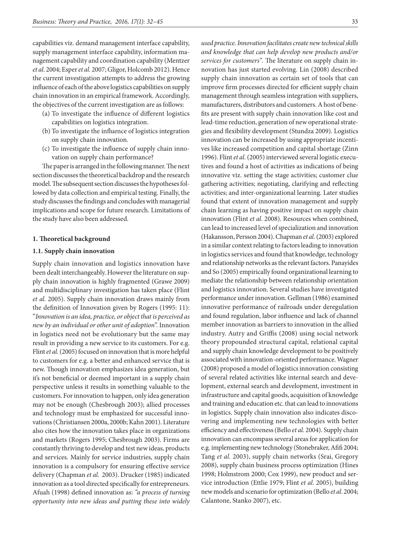capabilities viz. demand management interface capability, supply management interface capability, information management capability and coordination capability (Mentzer *et al*. 2004; Esper *et al.* 2007; Gligor, Holcomb 2012). Hence the current investigation attempts to address the growing influence of each of the above logistics capabilities on supply chain innovation in an empirical framework. Accordingly, the objectives of the current investigation are as follows:

- (a) To investigate the influence of different logistics capabilities on logistics integration.
- (b) To investigate the influence of logistics integration on supply chain innovation.
- (c) To investigate the influence of supply chain innovation on supply chain performance?

The paper is arranged in the following manner. The next section discusses the theoretical backdrop and the research model. The subsequent section discusses the hypotheses followed by data collection and empirical testing. Finally, the study discusses the findings and concludes with managerial implications and scope for future research. Limitations of the study have also been addressed.

### **1. Theoretical background**

#### **1.1. Supply chain innovation**

Supply chain innovation and logistics innovation have been dealt interchangeably. However the literature on supply chain innovation is highly fragmented (Grawe 2009) and multidisciplinary investigation has taken place (Flint *et al.* 2005). Supply chain innovation draws mainly from the definition of Innovation given by Rogers (1995: 11): "*Innovation is an idea, practice, or object that is perceived as new by an individual or other unit of adoption*". Innovation in logistics need not be evolutionary but the same may result in providing a new service to its customers. For e.g. Flint *et al.* (2005) focused on innovation that is more helpful to customers for e.g. a better and enhanced service that is new. Though innovation emphasizes idea generation, but it's not beneficial or deemed important in a supply chain perspective unless it results in something valuable to the customers. For innovation to happen, only idea generation may not be enough (Chesbrough 2003); allied processes and technology must be emphasized for successful innovations (Christiansen 2000a, 2000b; Kahn 2001). Literature also cites how the innovation takes place in organizations and markets (Rogers 1995; Chesbrough 2003). Firms are constantly thriving to develop and test new ideas, products and services. Mainly for service industries, supply chain innovation is a compulsory for ensuring effective service delivery (Chapman *et al.* 2003). Drucker (1985) indicated innovation as a tool directed specifically for entrepreneurs. Afuah (1998) defined innovation as: *"a process of turning opportunity into new ideas and putting these into widely* 

*and knowledge that can help develop new products and/or services for customers".* The literature on supply chain innovation has just started evolving. Lin (2008) described supply chain innovation as certain set of tools that can improve firm processes directed for efficient supply chain management through seamless integration with suppliers, manufacturers, distributors and customers. A host of benefits are present with supply chain innovation like cost and lead-time reduction, generation of new operational strategies and flexibility development (Stundza 2009). Logistics innovation can be increased by using appropriate incentives like increased competition and capital shortage (Zinn 1996). Flint *et al.* (2005) interviewed several logistic executives and found a host of activities as indications of being innovative viz. setting the stage activities; customer clue gathering activities; negotiating, clarifying and reflecting activities; and inter-organizational learning. Later studies found that extent of innovation management and supply chain learning as having positive impact on supply chain innovation (Flint *et al.* 2008). Resources when combined, can lead to increased level of specialization and innovation (Hakansson, Persson 2004). Chapman *et al.* (2003) explored in a similar context relating to factors leading to innovation in logistics services and found that knowledge, technology and relationship networks as the relevant factors. Panayides and So (2005) empirically found organizational learning to mediate the relationship between relationship orientation and logistics innovation. Several studies have investigated performance under innovation. Gellman (1986) examined innovative performance of railroads under deregulation and found regulation, labor influence and lack of channel member innovation as barriers to innovation in the allied industry. Autry and Griffis (2008) using social network theory propounded structural capital, relational capital and supply chain knowledge development to be positively associated with innovation-oriented performance. Wagner (2008) proposed a model of logistics innovation consisting of several related activities like internal search and development, external search and development, investment in infrastructure and capital goods, acquisition of knowledge and training and education etc. that can lead to innovations in logistics. Supply chain innovation also indicates discovering and implementing new technologies with better efficiency and effectiveness (Bello *et al.* 2004). Supply chain innovation can encompass several areas for application for e.g. implementing new technology (Stonebraker, Afifi 2004; Tang *et al.* 2003), supply chain networks (Srai, Gregory 2008), supply chain business process optimization (Hines 1998; Holmstrom 2000; Cox 1999), new product and service introduction (Ettlie 1979; Flint *et al.* 2005), building new models and scenario for optimization (Bello *et al*. 2004; Calantone, Stanko 2007), etc.

*used practice. Innovation facilitates create new technical skills*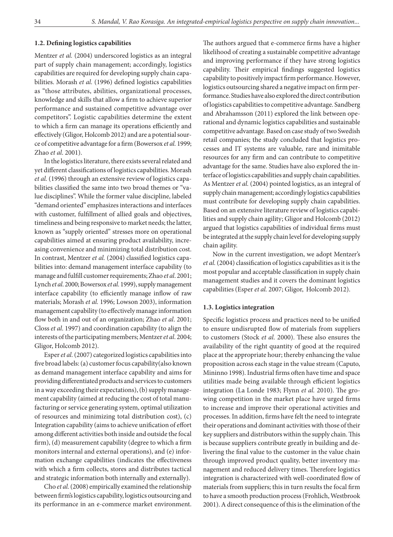## **1.2. Defining logistics capabilities**

Mentzer *et al.* (2004) underscored logistics as an integral part of supply chain management; accordingly, logistics capabilities are required for developing supply chain capabilities. Morash *et al.* (1996) defined logistics capabilities as "those attributes, abilities, organizational processes, knowledge and skills that allow a firm to achieve superior performance and sustained competitive advantage over competitors". Logistic capabilities determine the extent to which a firm can manage its operations efficiently and effectively (Gligor, Holcomb 2012) and are a potential source of competitive advantage for a firm (Bowersox *et al.* 1999; Zhao *et al*. 2001).

In the logistics literature, there exists several related and yet different classifications of logistics capabilities. Morash *et al.* (1996) through an extensive review of logistics capabilities classified the same into two broad themes or "value disciplines". While the former value discipline, labeled "demand oriented" emphasizes interactions and interfaces with customer, fulfillment of allied goals and objectives, timeliness and being responsive to market needs; the latter, known as "supply oriented" stresses more on operational capabilities aimed at ensuring product availability, increasing convenience and minimizing total distribution cost. In contrast, Mentzer *et al.* (2004) classified logistics capabilities into: demand management interface capability (to manage and fulfill customer requirements; Zhao *et al*. 2001; Lynch *et al*. 2000; Bowersox *et al.* 1999), supply management interface capability (to efficiently manage inflow of raw materials; Morash *et al.* 1996; Lowson 2003), information management capability (to effectively manage information flow both in and out of an organization; Zhao *et al*. 2001; Closs *et al*. 1997) and coordination capability (to align the interests of the participating members; Mentzer *et al*. 2004; Gligor, Holcomb 2012).

Esper *et al.* (2007) categorized logistics capabilities into five broad labels: (a) customer focus capability(also known as demand management interface capability and aims for providing differentiated products and services to customers in a way exceeding their expectations), (b) supply management capability (aimed at reducing the cost of total manufacturing or service generating system, optimal utilization of resources and minimizing total distribution cost), (c) Integration capability (aims to achieve unification of effort among different activities both inside and outside the focal firm), (d) measurement capability (degree to which a firm monitors internal and external operations), and (e) information exchange capabilities (indicates the effectiveness with which a firm collects, stores and distributes tactical and strategic information both internally and externally).

Cho *et al.* (2008) empirically examined the relationship between firm's logistics capability, logistics outsourcing and its performance in an e-commerce market environment.

The authors argued that e-commerce firms have a higher likelihood of creating a sustainable competitive advantage and improving performance if they have strong logistics capability. Their empirical findings suggested logistics capability to positively impact firm performance. However, logistics outsourcing shared a negative impact on firm performance. Studies have also explored the direct contribution of logistics capabilities to competitive advantage. Sandberg and Abrahamsson (2011) explored the link between operational and dynamic logistics capabilities and sustainable competitive advantage. Based on case study of two Swedish retail companies; the study concluded that logistics processes and IT systems are valuable, rare and inimitable resources for any firm and can contribute to competitive advantage for the same. Studies have also explored the interface of logistics capabilities and supply chain capabilities. As Mentzer *et al.* (2004) pointed logistics, as an integral of supply chain management; accordingly logistics capabilities must contribute for developing supply chain capabilities. Based on an extensive literature review of logistics capabilities and supply chain agility; Gligor and Holcomb (2012) argued that logistics capabilities of individual firms must be integrated at the supply chain level for developing supply chain agility.

Now in the current investigation, we adopt Mentzer's *et al.* (2004) classification of logistics capabilities as it is the most popular and acceptable classification in supply chain management studies and it covers the dominant logistics capabilities (Esper *et al.* 2007; Gligor, Holcomb 2012).

#### **1.3. Logistics integration**

Specific logistics process and practices need to be unified to ensure undisrupted flow of materials from suppliers to customers (Stock *et al.* 2000). These also ensures the availability of the right quantity of good at the required place at the appropriate hour; thereby enhancing the value proposition across each stage in the value stream (Caputo, Mininno 1998). Industrial firms often have time and space utilities made being available through efficient logistics integration (La Londe 1983; Flynn *et al.* 2010). The growing competition in the market place have urged firms to increase and improve their operational activities and processes. In addition, firms have felt the need to integrate their operations and dominant activities with those of their key suppliers and distributors within the supply chain. This is because suppliers contribute greatly in building and delivering the final value to the customer in the value chain through improved product quality, better inventory management and reduced delivery times. Therefore logistics integration is characterized with well-coordinated flow of materials from suppliers; this in turn results the focal firm to have a smooth production process (Frohlich, Westbrook 2001). A direct consequence of this is the elimination of the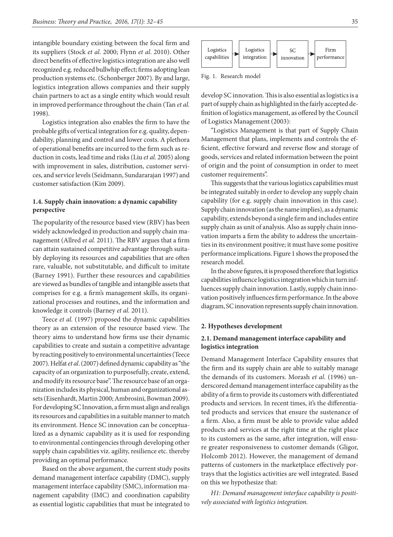intangible boundary existing between the focal firm and its suppliers (Stock *et al.* 2000; Flynn *et al*. 2010). Other direct benefits of effective logistics integration are also well recognized e.g. reduced bullwhip effect; firms adopting lean production systems etc. (Schonberger 2007). By and large, logistics integration allows companies and their supply chain partners to act as a single entity which would result in improved performance throughout the chain (Tan *et al.* 1998).

Logistics integration also enables the firm to have the probable gifts of vertical integration for e.g. quality, dependability, planning and control and lower costs. A plethora of operational benefits are incurred to the firm such as reduction in costs, lead time and risks (Liu *et al.* 2005) along with improvement in sales, distribution, customer services, and service levels (Seidmann, Sundararajan 1997) and customer satisfaction (Kim 2009).

## **1.4. Supply chain innovation: a dynamic capability perspective**

The popularity of the resource based view (RBV) has been widely acknowledged in production and supply chain management (Allred *et al.* 2011). The RBV argues that a firm can attain sustained competitive advantage through suitably deploying its resources and capabilities that are often rare, valuable, not substitutable, and difficult to imitate (Barney 1991). Further these resources and capabilities are viewed as bundles of tangible and intangible assets that comprises for e.g. a firm's management skills, its organizational processes and routines, and the information and knowledge it controls (Barney *et al.* 2011).

Teece *et al.* (1997) proposed the dynamic capabilities theory as an extension of the resource based view. The theory aims to understand how firms use their dynamic capabilities to create and sustain a competitive advantage by reacting positively to environmental uncertainties (Teece 2007). Helfat *et al*. (2007) defined dynamic capability as "the capacity of an organization to purposefully, create, extend, and modify its resource base". The resource base of an organization includes its physical, human and organizational assets (Eisenhardt, Martin 2000; Ambrosini, Bowman 2009). For developing SC Innovation, a firm must align and realign its resources and capabilities in a suitable manner to match its environment. Hence SC innovation can be conceptualized as a dynamic capability as it is used for responding to environmental contingencies through developing other supply chain capabilities viz. agility, resilience etc. thereby providing an optimal performance.

Based on the above argument, the current study posits demand management interface capability (DMC), supply management interface capability (SMC), information management capability (IMC) and coordination capability as essential logistic capabilities that must be integrated to



Fig. 1. Research model

develop SC innovation. This is also essential as logistics is a part of supply chain as highlighted in the fairly accepted definition of logistics management, as offered by the Council of Logistics Management (2003):

"Logistics Management is that part of Supply Chain Management that plans, implements and controls the efficient, effective forward and reverse flow and storage of goods, services and related information between the point of origin and the point of consumption in order to meet customer requirements".

This suggests that the various logistics capabilities must be integrated suitably in order to develop any supply chain capability (for e.g. supply chain innovation in this case). Supply chain innovation (as the name implies), as a dynamic capability, extends beyond a single firm and includes entire supply chain as unit of analysis. Also as supply chain innovation imparts a firm the ability to address the uncertainties in its environment positive; it must have some positive performance implications. Figure 1 shows the proposed the research model.

In the above figures, it is proposed therefore that logistics capabilities influence logistics integration which in turn influences supply chain innovation. Lastly, supply chain innovation positively influences firm performance. In the above diagram, SC innovation represents supply chain innovation.

### **2. Hypotheses development**

## **2.1. Demand management interface capability and logistics integration**

Demand Management Interface Capability ensures that the firm and its supply chain are able to suitably manage the demands of its customers. Morash *et al.* (1996) underscored demand management interface capability as the ability of a firm to provide its customers with differentiated products and services. In recent times, it's the differentiated products and services that ensure the sustenance of a firm. Also, a firm must be able to provide value added products and services at the right time at the right place to its customers as the same, after integration, will ensure greater responsiveness to customer demands (Gligor, Holcomb 2012). However, the management of demand patterns of customers in the marketplace effectively portrays that the logistics activities are well integrated. Based on this we hypothesize that:

*H1: Demand management interface capability is positively associated with logistics integration.*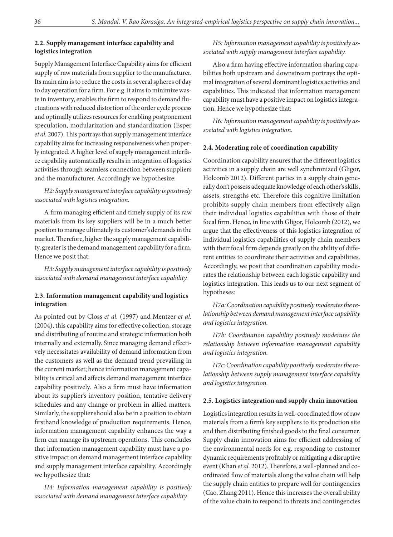## **2.2. Supply management interface capability and logistics integration**

Supply Management Interface Capability aims for efficient supply of raw materials from supplier to the manufacturer. Its main aim is to reduce the costs in several spheres of day to day operation for a firm. For e.g. it aims to minimize waste in inventory, enables the firm to respond to demand fluctuations with reduced distortion of the order cycle process and optimally utilizes resources for enabling postponement speculation, modularization and standardization (Esper *et al.* 2007). This portrays that supply management interface capability aims for increasing responsiveness when properly integrated. A higher level of supply management interface capability automatically results in integration of logistics activities through seamless connection between suppliers and the manufacturer. Accordingly we hypothesize:

## *H2: Supply management interface capability is positively associated with logistics integration.*

A firm managing efficient and timely supply of its raw materials from its key suppliers will be in a much better position to manage ultimately its customer's demands in the market. Therefore, higher the supply management capability, greater is the demand management capability for a firm. Hence we posit that:

*H3: Supply management interface capability is positively associated with demand management interface capability.*

## **2.3. Information management capability and logistics integration**

As pointed out by Closs *et al.* (1997) and Mentzer *et al.* (2004), this capability aims for effective collection, storage and distributing of routine and strategic information both internally and externally. Since managing demand effectively necessitates availability of demand information from the customers as well as the demand trend prevailing in the current market; hence information management capability is critical and affects demand management interface capability positively. Also a firm must have information about its supplier's inventory position, tentative delivery schedules and any change or problem in allied matters. Similarly, the supplier should also be in a position to obtain firsthand knowledge of production requirements. Hence, information management capability enhances the way a firm can manage its upstream operations. This concludes that information management capability must have a positive impact on demand management interface capability and supply management interface capability. Accordingly we hypothesize that:

*H4: Information management capability is positively associated with demand management interface capability.*

# *H5: Information management capability is positively associated with supply management interface capability.*

Also a firm having effective information sharing capabilities both upstream and downstream portrays the optimal integration of several dominant logistics activities and capabilities. This indicated that information management capability must have a positive impact on logistics integration. Hence we hypothesize that:

*H6: Information management capability is positively associated with logistics integration.*

## **2.4. Moderating role of coordination capability**

Coordination capability ensures that the different logistics activities in a supply chain are well synchronized (Gligor, Holcomb 2012). Different parties in a supply chain generally don't possess adequate knowledge of each other's skills, assets, strengths etc. Therefore this cognitive limitation prohibits supply chain members from effectively align their individual logistics capabilities with those of their focal firm. Hence, in line with Gligor, Holcomb (2012), we argue that the effectiveness of this logistics integration of individual logistics capabilities of supply chain members with their focal firm depends greatly on the ability of different entities to coordinate their activities and capabilities. Accordingly, we posit that coordination capability moderates the relationship between each logistic capability and logistics integration. This leads us to our next segment of hypotheses:

*H7a: Coordination capability positively moderates the relationship between demand management interface capability and logistics integration.* 

*H7b: Coordination capability positively moderates the relationship between information management capability and logistics integration.* 

*H7c: Coordination capability positively moderates the relationship between supply management interface capability and logistics integration.* 

## **2.5. Logistics integration and supply chain innovation**

Logistics integration results in well-coordinated flow of raw materials from a firm's key suppliers to its production site and then distributing finished goods to the final consumer. Supply chain innovation aims for efficient addressing of the environmental needs for e.g. responding to customer dynamic requirements profitably or mitigating a disruptive event (Khan *et al.* 2012). Therefore, a well-planned and coordinated flow of materials along the value chain will help the supply chain entities to prepare well for contingencies (Cao, Zhang 2011). Hence this increases the overall ability of the value chain to respond to threats and contingencies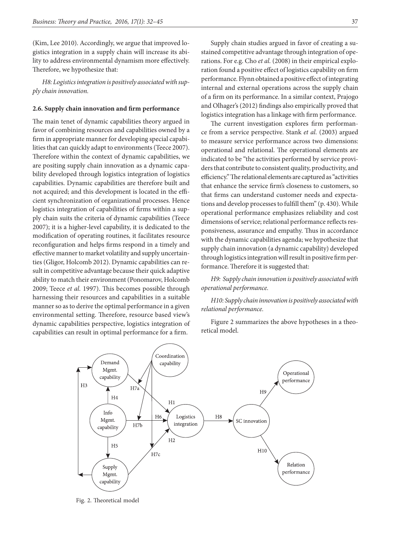(Kim, Lee 2010). Accordingly, we argue that improved logistics integration in a supply chain will increase its ability to address environmental dynamism more effectively. Therefore, we hypothesize that:

*H8: Logistics integration is positively associated with supply chain innovation.*

#### **2.6. Supply chain innovation and firm performance**

The main tenet of dynamic capabilities theory argued in favor of combining resources and capabilities owned by a firm in appropriate manner for developing special capabilities that can quickly adapt to environments (Teece 2007). Therefore within the context of dynamic capabilities, we are positing supply chain innovation as a dynamic capability developed through logistics integration of logistics capabilities. Dynamic capabilities are therefore built and not acquired; and this development is located in the efficient synchronization of organizational processes. Hence logistics integration of capabilities of firms within a supply chain suits the criteria of dynamic capabilities (Teece 2007); it is a higher-level capability, it is dedicated to the modification of operating routines, it facilitates resource reconfiguration and helps firms respond in a timely and effective manner to market volatility and supply uncertainties (Gligor, Holcomb 2012). Dynamic capabilities can result in competitive advantage because their quick adaptive ability to match their environment (Ponomarov, Holcomb 2009; Teece *et al.* 1997). This becomes possible through harnessing their resources and capabilities in a suitable manner so as to derive the optimal performance in a given environmental setting. Therefore, resource based view's dynamic capabilities perspective, logistics integration of capabilities can result in optimal performance for a firm.

Supply chain studies argued in favor of creating a sustained competitive advantage through integration of operations. For e.g. Cho *et al.* (2008) in their empirical exploration found a positive effect of logistics capability on firm performance. Flynn obtained a positive effect of integrating internal and external operations across the supply chain of a firm on its performance. In a similar context, Prajogo and Olhager's (2012) findings also empirically proved that logistics integration has a linkage with firm performance.

The current investigation explores firm performance from a service perspective. Stank *et al.* (2003) argued to measure service performance across two dimensions: operational and relational. The operational elements are indicated to be "the activities performed by service providers that contribute to consistent quality, productivity, and efficiency." The relational elements are captured as "activities that enhance the service firm's closeness to customers, so that firms can understand customer needs and expectations and develop processes to fulfill them" (p. 430). While operational performance emphasizes reliability and cost dimensions of service; relational performance reflects responsiveness, assurance and empathy. Thus in accordance with the dynamic capabilities agenda; we hypothesize that supply chain innovation (a dynamic capability) developed through logistics integration will result in positive firm performance. Therefore it is suggested that:

*H9: Supply chain innovation is positively associated with operational performance.*

*H10: Supply chain innovation is positively associated with relational performance.*

Figure 2 summarizes the above hypotheses in a theoretical model.



Fig. 2. Theoretical model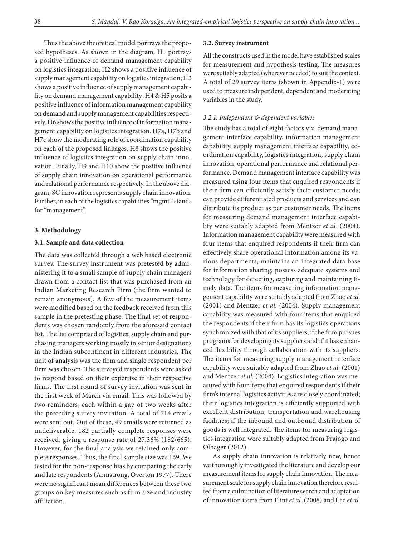Thus the above theoretical model portrays the proposed hypotheses. As shown in the diagram, H1 portrays a positive influence of demand management capability on logistics integration; H2 shows a positive influence of supply management capability on logistics integration; H3 shows a positive influence of supply management capability on demand management capability; H4 & H5 posits a positive influence of information management capability on demand and supply management capabilities respectively. H6 shows the positive influence of information management capability on logistics integration. H7a, H7b and H7c show the moderating role of coordination capability on each of the proposed linkages. H8 shows the positive influence of logistics integration on supply chain innovation. Finally, H9 and H10 show the positive influence of supply chain innovation on operational performance and relational performance respectively. In the above diagram, SC innovation represents supply chain innovation. Further, in each of the logistics capabilities "mgmt." stands for "management".

## **3. Methodology**

#### **3.1. Sample and data collection**

The data was collected through a web based electronic survey. The survey instrument was pretested by administering it to a small sample of supply chain managers drawn from a contact list that was purchased from an Indian Marketing Research Firm (the firm wanted to remain anonymous). A few of the measurement items were modified based on the feedback received from this sample in the pretesting phase. The final set of respondents was chosen randomly from the aforesaid contact list. The list comprised of logistics, supply chain and purchasing managers working mostly in senior designations in the Indian subcontinent in different industries. The unit of analysis was the firm and single respondent per firm was chosen. The surveyed respondents were asked to respond based on their expertise in their respective firms. The first round of survey invitation was sent in the first week of March via email. This was followed by two reminders, each within a gap of two weeks after the preceding survey invitation. A total of 714 emails were sent out. Out of these, 49 emails were returned as undeliverable. 182 partially complete responses were received, giving a response rate of 27.36% (182/665). However, for the final analysis we retained only complete responses. Thus, the final sample size was 169. We tested for the non-response bias by comparing the early and late respondents (Armstrong, Overton 1977). There were no significant mean differences between these two groups on key measures such as firm size and industry affiliation.

#### **3.2. Survey instrument**

All the constructs used in the model have established scales for measurement and hypothesis testing. The measures were suitably adapted (wherever needed) to suit the context. A total of 29 survey items (shown in Appendix-1) were used to measure independent, dependent and moderating variables in the study.

### *3.2.1. Independent & dependent variables*

The study has a total of eight factors viz. demand management interface capability, information management capability, supply management interface capability, coordination capability, logistics integration, supply chain innovation, operational performance and relational performance. Demand management interface capability was measured using four items that enquired respondents if their firm can efficiently satisfy their customer needs; can provide differentiated products and services and can distribute its product as per customer needs. The items for measuring demand management interface capability were suitably adapted from Mentzer *et al.* (2004). Information management capability were measured with four items that enquired respondents if their firm can effectively share operational information among its various departments; maintains an integrated data base for information sharing; possess adequate systems and technology for detecting, capturing and maintaining timely data. The items for measuring information management capability were suitably adapted from Zhao *et al.* (2001) and Mentzer *et al.* (2004). Supply management capability was measured with four items that enquired the respondents if their firm has its logistics operations synchronized with that of its suppliers; if the firm pursues programs for developing its suppliers and if it has enhanced flexibility through collaboration with its suppliers. The items for measuring supply management interface capability were suitably adapted from Zhao *et al.* (2001) and Mentzer *et al.* (2004). Logistics integration was measured with four items that enquired respondents if their firm's internal logistics activities are closely coordinated; their logistics integration is efficiently supported with excellent distribution, transportation and warehousing facilities; if the inbound and outbound distribution of goods is well integrated. The items for measuring logistics integration were suitably adapted from Prajogo and Olhager (2012).

As supply chain innovation is relatively new, hence we thoroughly investigated the literature and develop our measurement items for supply chain Innovation. The measurement scale for supply chain innovation therefore resulted from a culmination of literature search and adaptation of innovation items from Flint *et al.* (2008) and Lee *et al.*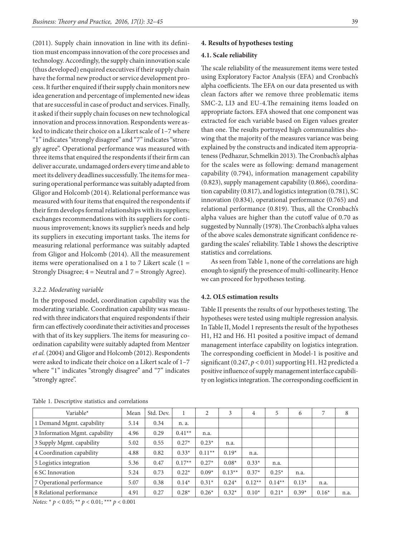(2011). Supply chain innovation in line with its definition must encompass innovation of the core processes and technology. Accordingly, the supply chain innovation scale (thus developed) enquired executives if their supply chain have the formal new product or service development process. It further enquired if their supply chain monitors new idea generation and percentage of implemented new ideas that are successful in case of product and services. Finally, it asked if their supply chain focuses on new technological innovation and process innovation. Respondents were asked to indicate their choice on a Likert scale of 1–7 where "1" indicates "strongly disagree" and "7" indicates "strongly agree". Operational performance was measured with three items that enquired the respondents if their firm can deliver accurate, undamaged orders every time and able to meet its delivery deadlines successfully. The items for measuring operational performance was suitably adapted from Gligor and Holcomb (2014). Relational performance was measured with four items that enquired the respondents if their firm develops formal relationships with its suppliers; exchanges recommendations with its suppliers for continuous improvement; knows its supplier's needs and help its suppliers in executing important tasks. The items for measuring relational performance was suitably adapted from Gligor and Holcomb (2014). All the measurement items were operationalised on a 1 to 7 Likert scale (1 = Strongly Disagree;  $4 =$  Neutral and  $7 =$  Strongly Agree).

### *3.2.2. Moderating variable*

In the proposed model, coordination capability was the moderating variable. Coordination capability was measured with three indicators that enquired respondents if their firm can effectively coordinate their activities and processes with that of its key suppliers. The items for measuring coordination capability were suitably adapted from Mentzer *et al.* (2004) and Gligor and Holcomb (2012). Respondents were asked to indicate their choice on a Likert scale of 1–7 where "1" indicates "strongly disagree" and "7" indicates "strongly agree".

#### **4. Results of hypotheses testing**

#### **4.1. Scale reliability**

The scale reliability of the measurement items were tested using Exploratory Factor Analysis (EFA) and Cronbach's alpha coefficients. The EFA on our data presented us with clean factors after we remove three problematic items SMC-2, LI3 and EU-4.The remaining items loaded on appropriate factors. EFA showed that one component was extracted for each variable based on Eigen values greater than one. The results portrayed high communalities showing that the majority of the measures variance was being explained by the constructs and indicated item appropriateness (Pedhazur, Schmelkin 2013). The Cronbach's alphas for the scales were as following: demand management capability (0.794), information management capability (0.823), supply management capability (0.866), coordination capability (0.817), and logistics integration (0.781), SC innovation (0.834), operational performance (0.765) and relational performance (0.819). Thus, all the Cronbach's alpha values are higher than the cutoff value of 0.70 as suggested by Nunnally (1978). The Cronbach's alpha values of the above scales demonstrate significant confidence regarding the scales' reliability. Table 1 shows the descriptive statistics and correlations.

As seen from Table 1, none of the correlations are high enough to signify the presence of multi-collinearity. Hence we can proceed for hypotheses testing.

### **4.2. OLS estimation results**

Table II presents the results of our hypotheses testing. The hypotheses were tested using multiple regression analysis. In Table II, Model 1 represents the result of the hypotheses H1, H2 and H6. H1 posited a positive impact of demand management interface capability on logistics integration. The corresponding coefficient in Model-1 is positive and significant (0.247, *p* < 0.01) supporting H1. H2 predicted a positive influence of supply management interface capability on logistics integration. The corresponding coefficient in

| Variable*                      | Mean | Std. Dev. |          | 2        | 3        | $\overline{4}$ | 5        | 6       | 7       | 8    |
|--------------------------------|------|-----------|----------|----------|----------|----------------|----------|---------|---------|------|
| 1 Demand Mgmt. capability      | 5.14 | 0.34      | n. a.    |          |          |                |          |         |         |      |
| 3 Information Mgmt. capability | 4.96 | 0.29      | $0.41**$ | n.a.     |          |                |          |         |         |      |
| 3 Supply Mgmt. capability      | 5.02 | 0.55      | $0.27*$  | $0.23*$  | n.a.     |                |          |         |         |      |
| 4 Coordination capability      | 4.88 | 0.82      | $0.33*$  | $0.11**$ | $0.19*$  | n.a.           |          |         |         |      |
| 5 Logistics integration        | 5.36 | 0.47      | $0.17**$ | $0.27*$  | $0.08*$  | $0.33*$        | n.a.     |         |         |      |
| 6 SC Innovation                | 5.24 | 0.73      | $0.22*$  | $0.09*$  | $0.13**$ | $0.37*$        | $0.25*$  | n.a.    |         |      |
| 7 Operational performance      | 5.07 | 0.38      | $0.14*$  | $0.31*$  | $0.24*$  | $0.12**$       | $0.14**$ | $0.13*$ | n.a.    |      |
| 8 Relational performance       | 4.91 | 0.27      | $0.28*$  | $0.26*$  | $0.32*$  | $0.10^{*}$     | $0.21*$  | $0.39*$ | $0.16*$ | n.a. |

Table 1. Descriptive statistics and correlations

*Notes:* \* *p* < 0.05; \*\* *p* < 0.01; \*\*\* *p* < 0.001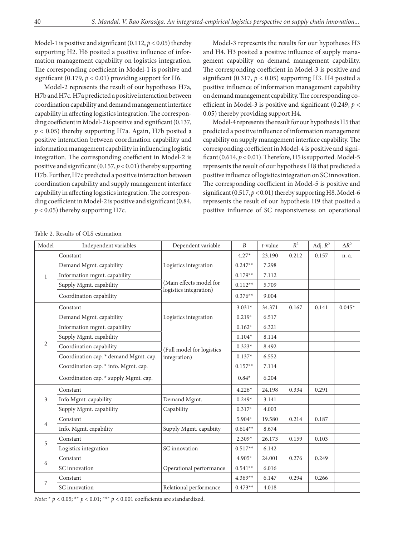Model-1 is positive and significant (0.112,  $p < 0.05$ ) thereby supporting H2. H6 posited a positive influence of information management capability on logistics integration. The corresponding coefficient in Model-1 is positive and significant (0.179,  $p < 0.01$ ) providing support for H6.

Model-2 represents the result of our hypotheses H7a, H7b and H7c. H7a predicted a positive interaction between coordination capability and demand management interface capability in affecting logistics integration. The corresponding coefficient in Model-2 is positive and significant (0.137, *p* < 0.05) thereby supporting H7a. Again, H7b posited a positive interaction between coordination capability and information management capability in influencing logistic integration. The corresponding coefficient in Model-2 is positive and significant (0.157, *p* < 0.01) thereby supporting H7b. Further, H7c predicted a positive interaction between coordination capability and supply management interface capability in affecting logistics integration. The corresponding coefficient in Model-2 is positive and significant (0.84,  $p$  < 0.05) thereby supporting H7c.

Model-3 represents the results for our hypotheses H3 and H4. H3 posited a positive influence of supply management capability on demand management capability. The corresponding coefficient in Model-3 is positive and significant  $(0.317, p < 0.05)$  supporting H3. H4 posited a positive influence of information management capability on demand management capability. The corresponding coefficient in Model-3 is positive and significant (0.249, *p* < 0.05) thereby providing support H4.

Model-4 represents the result for our hypothesis H5 that predicted a positive influence of information management capability on supply management interface capability. The corresponding coefficient in Model-4 is positive and significant (0.614, *p* < 0.01). Therefore, H5 is supported. Model-5 represents the result of our hypothesis H8 that predicted a positive influence of logistics integration on SC innovation. The corresponding coefficient in Model-5 is positive and significant (0.517,  $p < 0.01$ ) thereby supporting H8. Model-6 represents the result of our hypothesis H9 that posited a positive influence of SC responsiveness on operational

| Table 2. Results of OLS estimation |  |
|------------------------------------|--|
|------------------------------------|--|

| Model          | Independent variables                 | Dependent variable        | $\boldsymbol{B}$ | t-value | $R^2$ | Adj. $R^2$ | $\Delta R^2$ |
|----------------|---------------------------------------|---------------------------|------------------|---------|-------|------------|--------------|
|                | Constant                              |                           | $4.27*$          | 23.190  | 0.212 | 0.157      | n. a.        |
| 1              | Demand Mgmt. capability               | Logistics integration     | $0.247**$        | 7.298   |       |            |              |
|                | Information mgmt. capability          |                           | $0.179**$        | 7.112   |       |            |              |
|                | Supply Mgmt. capability               | (Main effects model for   | $0.112**$        | 5.709   |       |            |              |
|                | Coordination capability               | logistics integration)    | $0.376**$        | 9.004   |       |            |              |
|                | Constant                              |                           | $3.031*$         | 34.371  | 0.167 | 0.141      | $0.045*$     |
|                | Demand Mgmt. capability               | Logistics integration     | $0.219*$         | 6.517   |       |            |              |
|                | Information mgmt. capability          |                           | $0.162*$         | 6.321   |       |            |              |
|                | Supply Mgmt. capability               |                           | $0.104*$         | 8.114   |       |            |              |
| 2              | Coordination capability               | (Full model for logistics | $0.323*$         | 8.492   |       |            |              |
|                | Coordination cap. * demand Mgmt. cap. | integration)              | $0.137*$         | 6.552   |       |            |              |
|                | Coordination cap. * info. Mgmt. cap.  |                           | $0.157**$        | 7.114   |       |            |              |
|                | Coordination cap. * supply Mgmt. cap. |                           | $0.84*$          | 6.204   |       |            |              |
|                | Constant                              |                           | $4.226*$         | 24.198  | 0.334 | 0.291      |              |
| 3              | Info Mgmt. capability                 | Demand Mgmt.              | $0.249*$         | 3.141   |       |            |              |
|                | Supply Mgmt. capability               | Capability                | $0.317*$         | 4.003   |       |            |              |
| $\overline{4}$ | Constant                              |                           | 5.904*           | 19.580  | 0.214 | 0.187      |              |
|                | Info. Mgmt. capability                | Supply Mgmt. capabiity    | $0.614**$        | 8.674   |       |            |              |
| 5              | Constant                              |                           | $2.309*$         | 26.173  | 0.159 | 0.103      |              |
|                | Logistics integration                 | SC innovation             | $0.517**$        | 6.142   |       |            |              |
|                | Constant                              |                           | $4.905*$         | 24.001  | 0.276 | 0.249      |              |
| 6              | SC innovation                         | Operational performance   | $0.541**$        | 6.016   |       |            |              |
| $\overline{7}$ | Constant                              |                           | $4.369**$        | 6.147   | 0.294 | 0.266      |              |
|                | SC innovation                         | Relational performance    | $0.473**$        | 4.018   |       |            |              |

*Note:* \* *p* < 0.05; \*\* *p* < 0.01; \*\*\* *p* < 0.001 coefficients are standardized.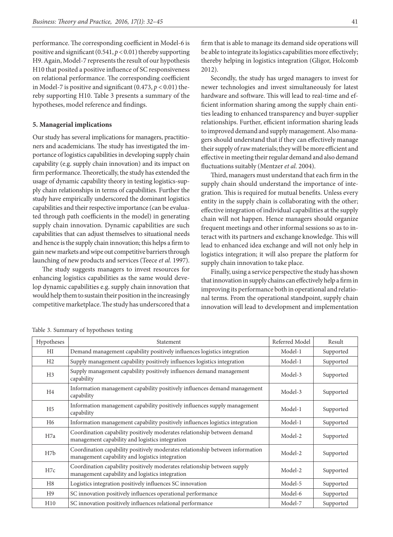performance. The corresponding coefficient in Model-6 is positive and significant (0.541, *p* < 0.01) thereby supporting H9. Again, Model-7 represents the result of our hypothesis H10 that posited a positive influence of SC responsiveness on relational performance. The corresponding coefficient in Model-7 is positive and significant  $(0.473, p < 0.01)$  thereby supporting H10. Table 3 presents a summary of the hypotheses, model reference and findings.

## **5. Managerial implications**

Our study has several implications for managers, practitioners and academicians. The study has investigated the importance of logistics capabilities in developing supply chain capability (e.g. supply chain innovation) and its impact on firm performance. Theoretically, the study has extended the usage of dynamic capability theory in testing logistics-supply chain relationships in terms of capabilities. Further the study have empirically underscored the dominant logistics capabilities and their respective importance (can be evaluated through path coefficients in the model) in generating supply chain innovation. Dynamic capabilities are such capabilities that can adjust themselves to situational needs and hence is the supply chain innovation; this helps a firm to gain new markets and wipe out competitive barriers through launching of new products and services (Teece *et al.* 1997).

The study suggests managers to invest resources for enhancing logistics capabilities as the same would develop dynamic capabilities e.g. supply chain innovation that would help them to sustain their position in the increasingly competitive marketplace. The study has underscored that a firm that is able to manage its demand side operations will be able to integrate its logistics capabilities more effectively; thereby helping in logistics integration (Gligor, Holcomb 2012).

Secondly, the study has urged managers to invest for newer technologies and invest simultaneously for latest hardware and software. This will lead to real-time and efficient information sharing among the supply chain entities leading to enhanced transparency and buyer-supplier relationships. Further, efficient information sharing leads to improved demand and supply management. Also managers should understand that if they can effectively manage their supply of raw materials; they will be more efficient and effective in meeting their regular demand and also demand fluctuations suitably (Mentzer *et al.* 2004).

Third, managers must understand that each firm in the supply chain should understand the importance of integration. This is required for mutual benefits. Unless every entity in the supply chain is collaborating with the other; effective integration of individual capabilities at the supply chain will not happen. Hence managers should organize frequent meetings and other informal sessions so as to interact with its partners and exchange knowledge. This will lead to enhanced idea exchange and will not only help in logistics integration; it will also prepare the platform for supply chain innovation to take place.

Finally, using a service perspective the study has shown that innovation in supply chains can effectively help a firm in improving its performance both in operational and relational terms. From the operational standpoint, supply chain innovation will lead to development and implementation

| Hypotheses       | <b>Statement</b>                                                                                                                 | Referred Model | Result    |
|------------------|----------------------------------------------------------------------------------------------------------------------------------|----------------|-----------|
| HI               | Demand management capability positively influences logistics integration                                                         | Model-1        | Supported |
| H <sub>2</sub>   | Supply management capability positively influences logistics integration                                                         | Model-1        | Supported |
| H <sub>3</sub>   | Supply management capability positively influences demand management<br>capability                                               | Model-3        | Supported |
| H <sub>4</sub>   | Information management capability positively influences demand management<br>capability                                          | Model-3        | Supported |
| H <sub>5</sub>   | Information management capability positively influences supply management<br>capability                                          | Model-1        | Supported |
| H6               | Information management capability positively influences logistics integration                                                    | Model-1        | Supported |
| H7a              | Coordination capability positively moderates relationship between demand<br>management capability and logistics integration      | Model-2        | Supported |
| H <sub>7</sub> b | Coordination capability positively moderates relationship between information<br>management capability and logistics integration | Model-2        | Supported |
| H7c              | Coordination capability positively moderates relationship between supply<br>management capability and logistics integration      | Model-2        | Supported |
| H <sub>8</sub>   | Logistics integration positively influences SC innovation                                                                        | Model-5        | Supported |
| H <sub>9</sub>   | SC innovation positively influences operational performance                                                                      | Model-6        | Supported |
| H10              | SC innovation positively influences relational performance                                                                       | Model-7        | Supported |

Table 3. Summary of hypotheses testing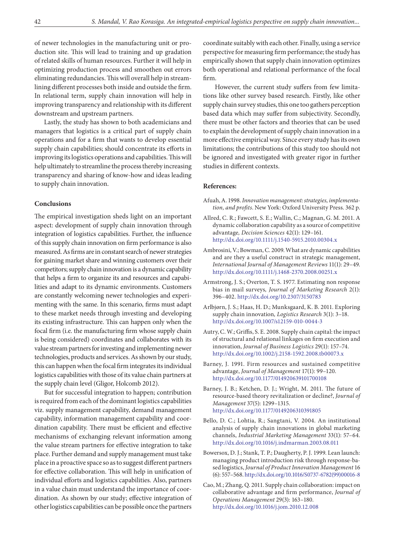of newer technologies in the manufacturing unit or production site. This will lead to training and up gradation of related skills of human resources. Further it will help in optimizing production process and smoothen out errors eliminating redundancies. This will overall help in streamlining different processes both inside and outside the firm. In relational term, supply chain innovation will help in improving transparency and relationship with its different downstream and upstream partners.

Lastly, the study has shown to both academicians and managers that logistics is a critical part of supply chain operations and for a firm that wants to develop essential supply chain capabilities; should concentrate its efforts in improving its logistics operations and capabilities. This will help ultimately to streamline the process thereby increasing transparency and sharing of know-how and ideas leading to supply chain innovation.

#### **Conclusions**

The empirical investigation sheds light on an important aspect: development of supply chain innovation through integration of logistics capabilities. Further, the influence of this supply chain innovation on firm performance is also measured. As firms are in constant search of newer strategies for gaining market share and winning customers over their competitors; supply chain innovation is a dynamic capability that helps a firm to organize its and resources and capabilities and adapt to its dynamic environments. Customers are constantly welcoming newer technologies and experimenting with the same. In this scenario, firms must adapt to these market needs through investing and developing its existing infrastructure. This can happen only when the focal firm (i.e. the manufacturing firm whose supply chain is being considered) coordinates and collaborates with its value stream partners for investing and implementing newer technologies, products and services. As shown by our study, this can happen when the focal firm integrates its individual logistics capabilities with those of its value chain partners at the supply chain level (Gligor, Holcomb 2012).

But for successful integration to happen; contribution is required from each of the dominant logistics capabilities viz. supply management capability, demand management capability, information management capability and coordination capability. There must be efficient and effective mechanisms of exchanging relevant information among the value stream partners for effective integration to take place. Further demand and supply management must take place in a proactive space so as to suggest different partners for effective collaboration. This will help in unification of individual efforts and logistics capabilities. Also, partners in a value chain must understand the importance of coordination. As shown by our study; effective integration of other logistics capabilities can be possible once the partners

coordinate suitably with each other. Finally, using a service perspective for measuring firm performance; the study has empirically shown that supply chain innovation optimizes both operational and relational performance of the focal firm.

 However, the current study suffers from few limitations like other survey based research. Firstly, like other supply chain survey studies, this one too gathers perception based data which may suffer from subjectivity. Secondly, there must be other factors and theories that can be used to explain the development of supply chain innovation in a more effective empirical way. Since every study has its own limitations; the contributions of this study too should not be ignored and investigated with greater rigor in further studies in different contexts.

### **References:**

- Afuah, A. 1998. *Innovation management: strategies, implementation, and profits*. New York: Oxford University Press. 362 p.
- Allred, C. R.; Fawcett, S. E.; Wallin, C.; Magnan, G. M. 2011. A dynamic collaboration capability as a source of competitive advantage*, Decision Sciences* 42(1): 129–161. <http://dx.doi.org/10.1111/j.1540-5915.2010.00304.x>
- Ambrosini, V.; Bowman, C. 2009. What are dynamic capabilities and are they a useful construct in strategic management, *International Journal of Management Reviews* 11(1): 29–49. <http://dx.doi.org/10.1111/j.1468-2370.2008.00251.x>
- Armstrong, J. S.; Overton, T. S. 1977. Estimating non response bias in mail surveys*, Journal of Marketing Research* 2(1): 396–402.<http://dx.doi.org/10.2307/3150783>
- Arlbjørn, J. S.; Haas, H. D.; Munksgaard, K. B. 2011. Exploring supply chain innovation*, Logistics Research* 3(1): 3–18. <http://dx.doi.org/10.1007/s12159-010-0044-3>
- Autry, C. W.; Griffis, S. E. 2008. Supply chain capital: the impact of structural and relational linkages on firm execution and innovation, *Journal of Business Logistics* 29(1): 157–74. <http://dx.doi.org/10.1002/j.2158-1592.2008.tb00073.x>
- Barney, J. 1991. Firm resources and sustained competitive advantage, *Journal of Management* 17(1): 99–120. <http://dx.doi.org/10.1177/014920639101700108>
- Barney, J. B.; Ketchen, D. J.; Wright, M. 2011. The future of resource-based theory revitalization or decline?, *Journal of Management* 37(5): 1299–1315. <http://dx.doi.org/10.1177/0149206310391805>
- Bello, D. C.; Lohtia, R.; Sangtani, V. 2004. An institutional analysis of supply chain innovations in global marketing channels, *Industrial Marketing Management* 33(1): 57–64. <http://dx.doi.org/10.1016/j.indmarman.2003.08.011>
- Bowersox, D. J.; Stank, T. P.; Daugherty, P. J. 1999. Lean launch: managing product introduction risk through response-based logistics, *Journal of Product Innovation Management* 16 (6): 557–568. [http://dx.doi.org/10.1016/S0737-6782\(99\)00016-8](http://dx.doi.org/10.1016/S0737-6782(99)00016-8)
- Cao, M.; Zhang, Q. 2011. Supply chain collaboration: impact on collaborative advantage and firm performance, *Journal of Operations Management* 29(3): 163–180. <http://dx.doi.org/10.1016/j.jom.2010.12.008>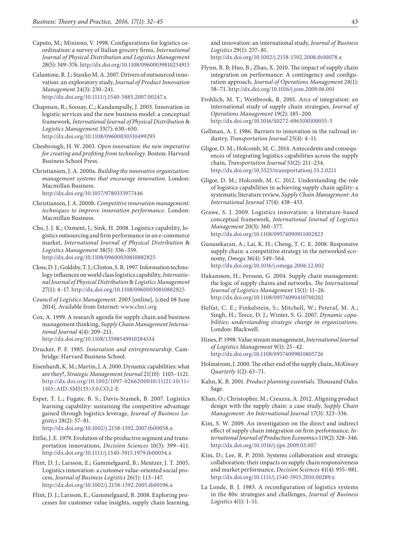- Caputo, M.; Mininno, V. 1998. Configurations for logistics coordination: a survey of Italian grocery firms, *International Journal of Physical Distribution and Logistics Management* 28(5): 349–376.<http://dx.doi.org/10.1108/09600039810234915>
- Calantone, R. J.; Stanko M. A. 2007. Drivers of outsourced innovation: an exploratory study, *Journal of Product Innovation Management* 24(3): 230–241. <http://dx.doi.org/10.1111/j.1540-5885.2007.00247.x>
- Chapman, R.; Soosay, C.; Kandampully, J. 2003. Innovation in logistic services and the new business model: a conceptual framework, *International Journal of Physical Distribution* & *Logistics Management* 33(7): 630–650. <http://dx.doi.org/10.1108/09600030310499295>
- Chesbrough, H. W. 2003*. Open innovation: the new imperative for creating and profiting from technology*. Boston: Harvard Business School Press.
- Christiansen, J. A. 2000a. *Building the innovative organization: management systems that encourage innovation*. London: Macmillan Business. <http://dx.doi.org/10.1057/9780333977446>
- Christiansen, J. A. 2000b. *Competitive innovation management: techniques to improve innovation performance*. London: Macmillan Business.
- Cho, J. J. K.; Ozment, J.; Sink, H. 2008. Logistics capability, logistics outsourcing and firm performance in an e-commerce market, *International Journal of Physical Distribution* & *Logistics Management* 38(5): 336–359. <http://dx.doi.org/10.1108/09600030810882825>
- Closs, D. J.; Goldsby, T. J.; Clinton, S. R. 1997. Information technology influences on world class logistics capability, *International Journal of Physical Distribution* & *Logistics Management* 27(1): 4–17. <http://dx.doi.org/10.1108/09600030810882825>
- *Council of Logistics Management.* 2003 [online], [cited 08 June 2014]. Available from Internet: www.clm1.org
- Cox, A. 1999. A research agenda for supply chain and business management thinking, *Supply Chain Management International Journal* 4(4): 209–211. <http://dx.doi.org/10.1108/13598549910284534>
- Drucker, P. F. 1985. *Innovation and entrepreneurship*. Cambridge: Harvard Business School.
- Eisenhardt, K. M.; Martin, J. A. 2000. Dynamic capabilities: what are they?, *Strategic Management Journal* 21(10): 1105–1121. [http://dx.doi.org/10.1002/1097-0266200010/11\)21:10/11<](http://dx.doi.org/10.1002/1097-0266(200010/11)21:10/11%3C1105::AID-SMJ133%3E3.0.CO;2-E)  [1105::AID-SMJ133>3.0.CO;2-E](http://dx.doi.org/10.1002/1097-0266(200010/11)21:10/11%3C1105::AID-SMJ133%3E3.0.CO;2-E)
- Esper, T. L.; Fugate, B. S.; Davis-Sramek, B. 2007. Logistics learning capability: sustaining the competitive advantage gained through logistics leverage, *Journal of Business Logistics* 28(2): 57–81.

<http://dx.doi.org/10.1002/j.2158-1592.2007.tb00058.x>

- Ettlie, J. E. 1979. Evolution of the productive segment and transportation innovations, *Decision Sciences* 10(3): 399–411. <http://dx.doi.org/10.1111/j.1540-5915.1979.tb00034.x>
- Flint, D. J.; Larsson, E.; Gammelgaard, B.; Mentzer, J. T. 2005. Logistics innovation: a customer value-oriented social process, *Journal of Business Logistics* 26(1): 113–147. <http://dx.doi.org/10.1002/j.2158-1592.2005.tb00196.x>
- Flint, D. J.; Larsson, E.; Gammelgaard, B. 2008. Exploring processes for customer value insights, supply chain learning,

and innovation: an international study, *Journal of Business Logistics* 29(1): 257–81. <http://dx.doi.org/10.1002/j.2158-1592.2008.tb00078.x>

- Flynn, B. B; Huo, B.; Zhao, X. 2010. The impact of supply chain integration on performance: A contingency and configuration approach, *Journal of Operations Management* 28(1): 58–71.<http://dx.doi.org/10.1016/j.jom.2009.06.001>
- Frohlich, M. T.; Westbrook, R. 2001. Arcs of integration: an international study of supply chain strategies, *Journal of Operations Management* 19(2): 185–200. [http://dx.doi.org/10.1016/S0272-6963\(00\)00055-3](http://dx.doi.org/10.1016/S0272-6963(00)00055-3)
- Gellman, A. J. 1986. Barriers to innovation in the railroad industry, *Transportation Journal* 25(4): 4–11.
- Gligor, D. M.; Holcomb, M. C. 2014. Antecedents and consequences of integrating logistics capabilities across the supply chain, *Transportation Journal* 53(2): 211–234. <http://dx.doi.org/10.5325/transportationj.53.2.0211>
- Gligor, D. M.; Holcomb, M. C. 2012. Understanding the role of logistics capabilities in achieving supply chain agility: a systematic literature review, *Supply Chain Management: An International Journal* 17(4): 438–453.
- Grawe, S. J. 2009. Logistics innovation: a literature-based conceptual framework, *International Journal of Logistics Management* 20(3): 360–377. <http://dx.doi.org/10.1108/09574090911002823>
- Gunasekaran, A.; Lai, K. H.; Cheng, T. C. E. 2008. Responsive supply chain: a competitive strategy in the networked economy, *Omega* 36(4): 549–564. <http://dx.doi.org/10.1016/j.omega.2006.12.002>
- Hakansson, H.; Persson, G. 2004. Supply chain management: the logic of supply chains and networks, *The International Journal of Logistics Management* 15(1): 11–26. <http://dx.doi.org/10.1108/09574090410700202>
- Helfat, C. E.; Finkelstein, S.; Mitchell, W.; Peteraf, M. A.; Singh, H.; Teece, D. J.; Winter, S. G. 2007. *Dynamic capabilities: understanding strategic change in organizations*. London: Blackwell.
- Hines, P. 1998. Value stream management, *International Journal of Logistics Management* 9(1): 25–42. <http://dx.doi.org/10.1108/09574099810805726>
- Holmstrom, J. 2000. The other end of the supply chain, *McKinsey Quarterly* 1(2): 63–71.
- Kahn, K. B. 2001. *Product planning essentials.* Thousand Oaks: Sage.
- Khan, O.; Christopher, M.; Creazza, A. 2012. Aligning product design with the supply chain: a case study, *Supply Chain Management: An International Journal* 17(3): 323–336.
- Kim, S. W. 2009. An investigation on the direct and indirect effect of supply chain integration on firm performance, *International Journal of Production Economics* 119(2): 328–346. <http://dx.doi.org/10.1016/j.ijpe.2009.03.007>
- Kim, D.; Lee, R. P. 2010. Systems collaboration and strategic collaboration: their impacts on supply chain responsiveness and market performance, *Decision Sciences* 41(4): 955–981. <http://dx.doi.org/10.1111/j.1540-5915.2010.00289.x>
- La Londe, B. J. 1983. A reconfiguration of logistics systems in the 80s: strategies and challenges, *Journal of Business Logistics* 4(1): 1–11.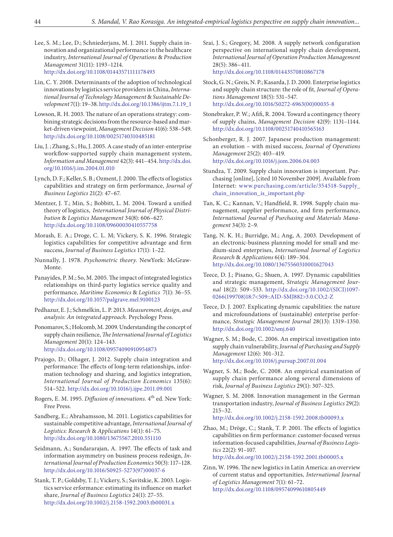- Lee, S. M.; Lee, D.; Schniederjans, M. J. 2011. Supply chain innovation and organizational performance in the healthcare industry, *International Journal of Operations* & *Production Management* 31(11): 1193–1214. <http://dx.doi.org/10.1108/01443571111178493>
- Lin, C. Y. 2008. Determinants of the adoption of technological innovations by logistics service providers in China, *International Journal of Technology Management* & *Sustainable Development* 7(1): 19–38. [http://dx.doi.org/10.1386/ijtm.7.1.19\\_1](http://dx.doi.org/10.1386/ijtm.7.1.19_1)
- Lowson, R. H. 2003. The nature of an operations strategy: combining strategic decisions from the resource-based and market-driven viewpoint, *Management Decision* 41(6): 538–549. <http://dx.doi.org/10.1108/00251740310485181>
- Liu, J. ; Zhang, S.; Hu, J. 2005. A case study of an inter-enterprise workflow-supported supply chain management system, *Information and Management* 42(3): 441–454. [http://dx.doi.](http://dx.doi.org/10.1016/j.im.2004.01.010) [org/10.1016/j.im.2004.01.010](http://dx.doi.org/10.1016/j.im.2004.01.010)
- Lynch, D. F.; Keller, S. B.; Ozment, J. 2000. The effects of logistics capabilities and strategy on firm performance, *Journal of Business Logistics* 21(2): 47–67.
- Mentzer, J. T.; Min, S.; Bobbitt, L. M. 2004. Toward a unified theory of logistics, *International Journal of Physical Distribution* & *Logistics Management* 34(8): 606–627. <http://dx.doi.org/10.1108/09600030410557758>
- Morash, E. A.; Droge, C. L. M; Vickery, S. K. 1996. Strategic logistics capabilities for competitive advantage and firm success, *Journal of Business Logistics* 17(1): 1–22.
- Nunnally, J. 1978. *Psychometric theory.* NewYork: McGraw-Monte.
- Panayides, P. M.; So, M. 2005. The impact of integrated logistics relationships on third-party logistics service quality and performance, *Maritime Economics* & *Logistics* 7(1): 36–55. <http://dx.doi.org/10.1057/palgrave.mel.9100123>
- Pedhazur, E. J.; Schmelkin, L. P. 2013. *Measurement, design, and analysis: An integrated approach*. Psychology Press.
- Ponomarov, S.; Holcomb, M. 2009. Understanding the concept of supply chain resilience, *The International Journal of Logistics Management* 20(1): 124–143. <http://dx.doi.org/10.1108/09574090910954873>
- Prajogo, D.; Olhager, J. 2012. Supply chain integration and performance: The effects of long-term relationships, information technology and sharing, and logistics integration, *International Journal of Production Economics* 135(6): 514–522.<http://dx.doi.org/10.1016/j.ijpe.2011.09.001>
- Rogers, E. M. 1995. *Diffusion of innovations*. 4th ed. New York: Free Press.
- Sandberg, E.; Abrahamsson, M. 2011. Logistics capabilities for sustainable competitive advantage, *International Journal of Logistics: Research* & *Applications* 14(1): 61–75. <http://dx.doi.org/10.1080/13675567.2010.551110>
- Seidmann, A.; Sundararajan, A. 1997. The effects of task and information asymmetry on business process redesign, *International Journal of Production Economics* 50(3): 117–128. [http://dx.doi.org/10.1016/S0925-5273\(97\)00037-6](http://dx.doi.org/10.1016/S0925-5273(97)00037-6)
- Stank, T. P.; Goldsby, T. J.; Vickery, S.; Savitskie, K. 2003. Logistics service erformance: estimating its influence on market share, *Journal of Business Logistics* 24(1): 27–55. <http://dx.doi.org/10.1002/j.2158-1592.2003.tb00031.x>
- Srai, J. S.; Gregory, M. 2008. A supply network configuration perspective on international supply chain development, *International Journal of Operation Production Management* 28(5): 386–411. <http://dx.doi.org/10.1108/01443570810867178>
- Stock, G. N.; Greis, N. P.; Kasarda, J. D. 2000. Enterprise logistics and supply chain structure: the role of fit*, Journal of Operations Management* 18(5): 531–547. [http://dx.doi.org/10.1016/S0272-6963\(00\)00035-8](http://dx.doi.org/10.1016/S0272-6963(00)00035-8)
- Stonebraker, P. W.; Afifi, R. 2004. Toward a contingency theory of supply chains, *Management Decision* 42(9): 1131–1144. <http://dx.doi.org/10.1108/00251740410565163>
- Schonberger, R. J. 2007. Japanese production management: an evolution – with mixed success, *Journal of Operations Management* 25(2): 403–419. <http://dx.doi.org/10.1016/j.jom.2006.04.003>
- Stundza, T. 2009. Supply chain innovation is important. Purchasing [online], [cited 10 November 2009]. Available from Internet: [www.purchasing.com/article/354518-Supply\\_](http://www.purchasing.com/article/354518-Supply_chain_innovation_is_important.php.%20Retrieved%2010%20November%202009) [chain\\_innovation\\_is\\_important.php](http://www.purchasing.com/article/354518-Supply_chain_innovation_is_important.php.%20Retrieved%2010%20November%202009)
- Tan, K. C.; Kannan, V.; Handfield, R. 1998. Supply chain management, supplier performance, and firm performance, *International Journal of Purchasing and Materials Management* 34(3): 2–9.
- Tang, N. K. H.; Burridge, M.; Ang, A. 2003. Development of an electronic-business planning model for small and medium-sized enterprises, *International Journal of Logistics Research* & *Applications* 6(4): 189–304. <http://dx.doi.org/10.1080/13675560310001627043>
- Teece, D. J.; Pisano, G.; Shuen, A. 1997. Dynamic capabilities and strategic management, *Strategic Management Journal* 18(2): 509–533. [http://dx.doi.org/10.1002/\(SICI\)1097-](http://dx.doi.org/10.1002/(SICI)1097-0266(199708)18:7%3C509::AID-SMJ882%3E3.0.CO;2-Z) [0266\(199708\)18:7<509::AID-SMJ882>3.0.CO;2-Z](http://dx.doi.org/10.1002/(SICI)1097-0266(199708)18:7%3C509::AID-SMJ882%3E3.0.CO;2-Z)
- Teece, D. J. 2007. Explicating dynamic capabilities: the nature and microfoundations of (sustainable) enterprise performance, *Strategic Management Journal* 28(13): 1319–1350. <http://dx.doi.org/10.1002/smj.640>
- Wagner, S. M.; Bode, C. 2006. An empirical investigation into supply chain vulnerability, *Journal of Purchasing and Supply Management* 12(6): 301–312. <http://dx.doi.org/10.1016/j.pursup.2007.01.004>
- Wagner, S. M.; Bode, C. 2008. An empirical examination of supply chain performance along several dimensions of risk, *Journal of Business Logistics* 29(1): 307–325.
- Wagner, S. M. 2008. Innovation management in the German transportation industry, *Journal of Business Logistics* 29(2): 215–32.

<http://dx.doi.org/10.1002/j.2158-1592.2008.tb00093.x>

Zhao, M.; Dröge, C.; Stank, T. P. 2001. The effects of logistics capabilities on firm performance: customer‐focused versus information‐focused capabilities, *Journal of Business Logistics* 22(2): 91–107.

<http://dx.doi.org/10.1002/j.2158-1592.2001.tb00005.x>

Zinn, W. 1996. The new logistics in Latin America: an overview of current status and opportunities*, International Journal of Logistics Management* 7(1): 61–72. <http://dx.doi.org/10.1108/09574099610805449>